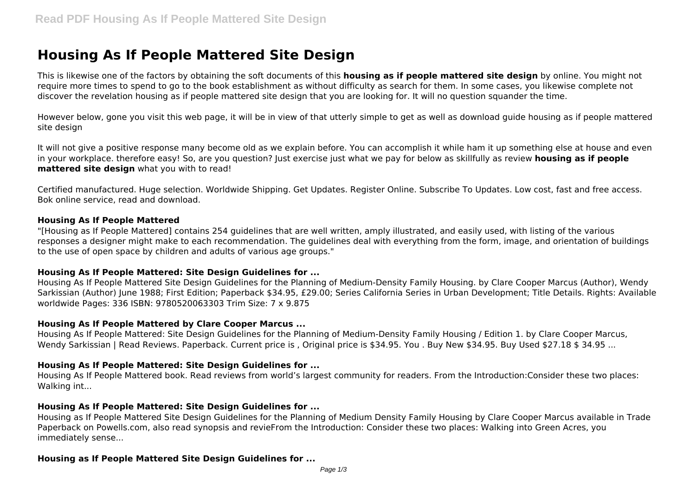# **Housing As If People Mattered Site Design**

This is likewise one of the factors by obtaining the soft documents of this **housing as if people mattered site design** by online. You might not require more times to spend to go to the book establishment as without difficulty as search for them. In some cases, you likewise complete not discover the revelation housing as if people mattered site design that you are looking for. It will no question squander the time.

However below, gone you visit this web page, it will be in view of that utterly simple to get as well as download guide housing as if people mattered site design

It will not give a positive response many become old as we explain before. You can accomplish it while ham it up something else at house and even in your workplace. therefore easy! So, are you question? Just exercise just what we pay for below as skillfully as review **housing as if people mattered site design** what you with to read!

Certified manufactured. Huge selection. Worldwide Shipping. Get Updates. Register Online. Subscribe To Updates. Low cost, fast and free access. Bok online service, read and download.

#### **Housing As If People Mattered**

"[Housing as If People Mattered] contains 254 guidelines that are well written, amply illustrated, and easily used, with listing of the various responses a designer might make to each recommendation. The guidelines deal with everything from the form, image, and orientation of buildings to the use of open space by children and adults of various age groups."

#### **Housing As If People Mattered: Site Design Guidelines for ...**

Housing As If People Mattered Site Design Guidelines for the Planning of Medium-Density Family Housing. by Clare Cooper Marcus (Author), Wendy Sarkissian (Author) June 1988; First Edition; Paperback \$34.95, £29.00; Series California Series in Urban Development; Title Details. Rights: Available worldwide Pages: 336 ISBN: 9780520063303 Trim Size: 7 x 9.875

#### **Housing As If People Mattered by Clare Cooper Marcus ...**

Housing As If People Mattered: Site Design Guidelines for the Planning of Medium-Density Family Housing / Edition 1. by Clare Cooper Marcus, Wendy Sarkissian | Read Reviews. Paperback. Current price is , Original price is \$34.95. You . Buy New \$34.95. Buy Used \$27.18 \$ 34.95 ...

#### **Housing As If People Mattered: Site Design Guidelines for ...**

Housing As If People Mattered book. Read reviews from world's largest community for readers. From the Introduction:Consider these two places: Walking int...

#### **Housing As If People Mattered: Site Design Guidelines for ...**

Housing as If People Mattered Site Design Guidelines for the Planning of Medium Density Family Housing by Clare Cooper Marcus available in Trade Paperback on Powells.com, also read synopsis and revieFrom the Introduction: Consider these two places: Walking into Green Acres, you immediately sense...

#### **Housing as If People Mattered Site Design Guidelines for ...**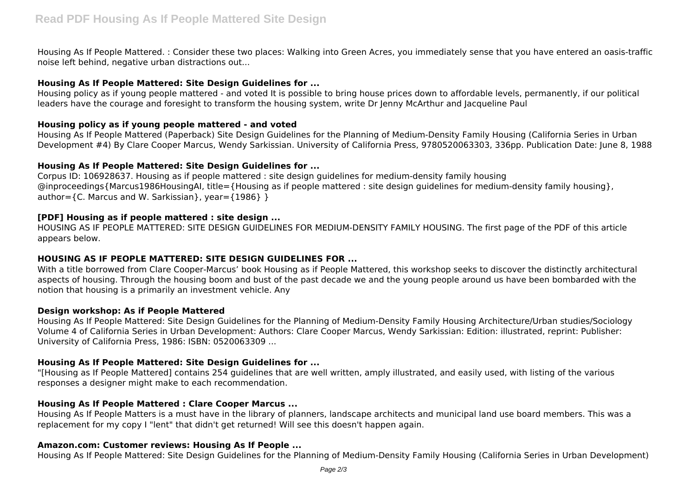Housing As If People Mattered. : Consider these two places: Walking into Green Acres, you immediately sense that you have entered an oasis-traffic noise left behind, negative urban distractions out...

### **Housing As If People Mattered: Site Design Guidelines for ...**

Housing policy as if young people mattered - and voted It is possible to bring house prices down to affordable levels, permanently, if our political leaders have the courage and foresight to transform the housing system, write Dr Jenny McArthur and Jacqueline Paul

#### **Housing policy as if young people mattered - and voted**

Housing As If People Mattered (Paperback) Site Design Guidelines for the Planning of Medium-Density Family Housing (California Series in Urban Development #4) By Clare Cooper Marcus, Wendy Sarkissian. University of California Press, 9780520063303, 336pp. Publication Date: June 8, 1988

#### **Housing As If People Mattered: Site Design Guidelines for ...**

Corpus ID: 106928637. Housing as if people mattered : site design guidelines for medium-density family housing @inproceedings{Marcus1986HousingAI, title={Housing as if people mattered : site design guidelines for medium-density family housing}, author= ${C.~Marcus}$  and W. Sarkissian }, year= ${1986}$  } }

## **[PDF] Housing as if people mattered : site design ...**

HOUSING AS IF PEOPLE MATTERED: SITE DESIGN GUIDELINES FOR MEDIUM-DENSITY FAMILY HOUSING. The first page of the PDF of this article appears below.

## **HOUSING AS IF PEOPLE MATTERED: SITE DESIGN GUIDELINES FOR ...**

With a title borrowed from Clare Cooper-Marcus' book Housing as if People Mattered, this workshop seeks to discover the distinctly architectural aspects of housing. Through the housing boom and bust of the past decade we and the young people around us have been bombarded with the notion that housing is a primarily an investment vehicle. Any

## **Design workshop: As if People Mattered**

Housing As If People Mattered: Site Design Guidelines for the Planning of Medium-Density Family Housing Architecture/Urban studies/Sociology Volume 4 of California Series in Urban Development: Authors: Clare Cooper Marcus, Wendy Sarkissian: Edition: illustrated, reprint: Publisher: University of California Press, 1986: ISBN: 0520063309 ...

## **Housing As If People Mattered: Site Design Guidelines for ...**

"[Housing as If People Mattered] contains 254 guidelines that are well written, amply illustrated, and easily used, with listing of the various responses a designer might make to each recommendation.

## **Housing As If People Mattered : Clare Cooper Marcus ...**

Housing As If People Matters is a must have in the library of planners, landscape architects and municipal land use board members. This was a replacement for my copy I "lent" that didn't get returned! Will see this doesn't happen again.

#### **Amazon.com: Customer reviews: Housing As If People ...**

Housing As If People Mattered: Site Design Guidelines for the Planning of Medium-Density Family Housing (California Series in Urban Development)